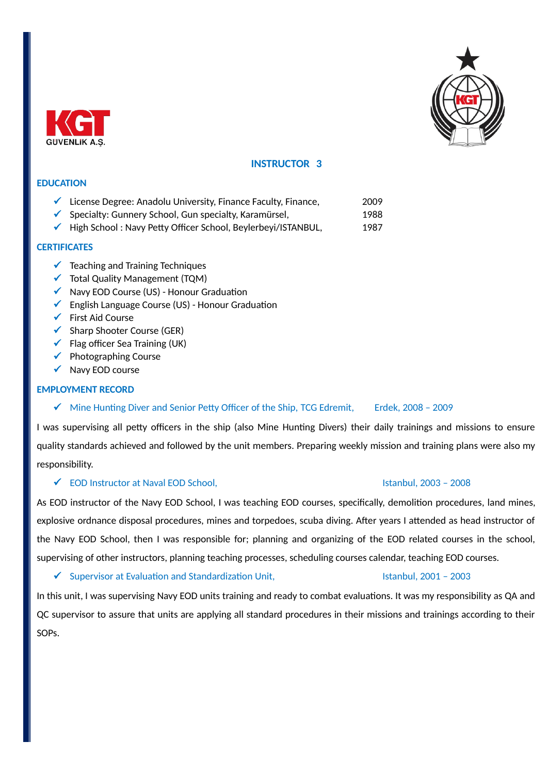



# **INSTRUCTOR 3**

## **EDUCATION**

- $\checkmark$  License Degree: Anadolu University, Finance Faculty, Finance, 2009
- $\checkmark$  Specialty: Gunnery School, Gun specialty, Karamürsel, 1988
- $\checkmark$  High School : Navy Petty Officer School, Beylerbeyi/ISTANBUL, 1987

## **CERTIFICATES**

- $\checkmark$  Teaching and Training Techniques
- $\checkmark$  Total Quality Management (TQM)
- $\checkmark$  Navy EOD Course (US) Honour Graduation
- $\checkmark$  English Language Course (US) Honour Graduation
- $\checkmark$  First Aid Course
- $\checkmark$  Sharp Shooter Course (GER)
- $\checkmark$  Flag officer Sea Training (UK)
- $\checkmark$  Photographing Course
- $\checkmark$  Navy EOD course

### **EMPLOYMENT RECORD**

## $\checkmark$  Mine Hunting Diver and Senior Petty Officer of the Ship, TCG Edremit, Erdek, 2008 - 2009

I was supervising all petty officers in the ship (also Mine Hunting Divers) their daily trainings and missions to ensure quality standards achieved and followed by the unit members. Preparing weekly mission and training plans were also my responsibility.

### EOD Instructor at Naval EOD School, Istanbul, 2003 – 2008

As EOD instructor of the Navy EOD School, I was teaching EOD courses, specifically, demolition procedures, land mines, explosive ordnance disposal procedures, mines and torpedoes, scuba diving. After years I attended as head instructor of the Navy EOD School, then I was responsible for; planning and organizing of the EOD related courses in the school, supervising of other instructors, planning teaching processes, scheduling courses calendar, teaching EOD courses.

 $\checkmark$  Supervisor at Evaluation and Standardization Unit,  $\checkmark$  Supervisor at Evaluation and Standardization Unit,

In this unit, I was supervising Navy EOD units training and ready to combat evaluations. It was my responsibility as QA and QC supervisor to assure that units are applying all standard procedures in their missions and trainings according to their SOPs.